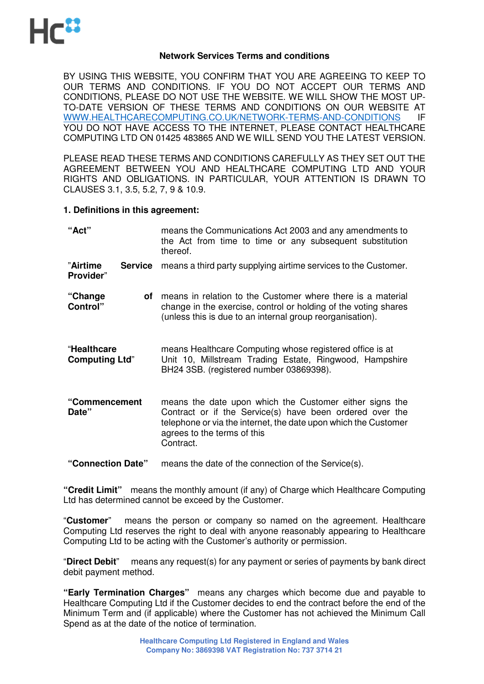

#### **Network Services Terms and conditions**

BY USING THIS WEBSITE, YOU CONFIRM THAT YOU ARE AGREEING TO KEEP TO OUR TERMS AND CONDITIONS. IF YOU DO NOT ACCEPT OUR TERMS AND CONDITIONS, PLEASE DO NOT USE THE WEBSITE. WE WILL SHOW THE MOST UP-TO-DATE VERSION OF THESE TERMS AND CONDITIONS ON OUR WEBSITE AT WWW.HEALTHCARECOMPUTING.CO.UK/NETWORK-TERMS-AND-CONDITIONS IF YOU DO NOT HAVE ACCESS TO THE INTERNET, PLEASE CONTACT HEALTHCARE COMPUTING LTD ON 01425 483865 AND WE WILL SEND YOU THE LATEST VERSION.

PLEASE READ THESE TERMS AND CONDITIONS CAREFULLY AS THEY SET OUT THE AGREEMENT BETWEEN YOU AND HEALTHCARE COMPUTING LTD AND YOUR RIGHTS AND OBLIGATIONS. IN PARTICULAR, YOUR ATTENTION IS DRAWN TO CLAUSES 3.1, 3.5, 5.2, 7, 9 & 10.9.

#### **1. Definitions in this agreement:**

| "Act"                                   | means the Communications Act 2003 and any amendments to<br>the Act from time to time or any subsequent substitution<br>thereof.                                                                                                    |
|-----------------------------------------|------------------------------------------------------------------------------------------------------------------------------------------------------------------------------------------------------------------------------------|
| "Airtime<br><b>Service</b><br>Provider" | means a third party supplying airtime services to the Customer.                                                                                                                                                                    |
| "Change<br>οf<br>Control"               | means in relation to the Customer where there is a material<br>change in the exercise, control or holding of the voting shares<br>(unless this is due to an internal group reorganisation).                                        |
| "Healthcare<br><b>Computing Ltd"</b>    | means Healthcare Computing whose registered office is at<br>Unit 10, Millstream Trading Estate, Ringwood, Hampshire<br>BH24 3SB. (registered number 03869398).                                                                     |
| "Commencement<br>Date"                  | means the date upon which the Customer either signs the<br>Contract or if the Service(s) have been ordered over the<br>telephone or via the internet, the date upon which the Customer<br>agrees to the terms of this<br>Contract. |
| "Connection Date"                       | means the date of the connection of the Service(s).                                                                                                                                                                                |

**"Credit Limit"** means the monthly amount (if any) of Charge which Healthcare Computing Ltd has determined cannot be exceed by the Customer.

"**Customer**" means the person or company so named on the agreement. Healthcare Computing Ltd reserves the right to deal with anyone reasonably appearing to Healthcare Computing Ltd to be acting with the Customer's authority or permission.

"**Direct Debit**" means any request(s) for any payment or series of payments by bank direct debit payment method.

**"Early Termination Charges"** means any charges which become due and payable to Healthcare Computing Ltd if the Customer decides to end the contract before the end of the Minimum Term and (if applicable) where the Customer has not achieved the Minimum Call Spend as at the date of the notice of termination.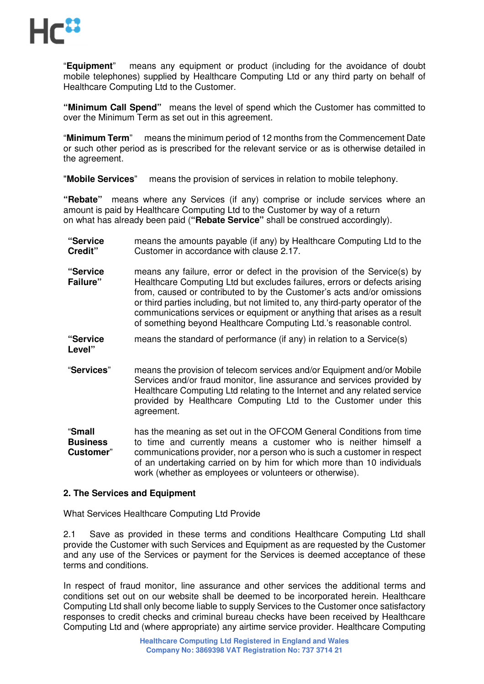

"**Equipment**" means any equipment or product (including for the avoidance of doubt mobile telephones) supplied by Healthcare Computing Ltd or any third party on behalf of Healthcare Computing Ltd to the Customer.

**"Minimum Call Spend"** means the level of spend which the Customer has committed to over the Minimum Term as set out in this agreement.

"**Minimum Term**" means the minimum period of 12 months from the Commencement Date or such other period as is prescribed for the relevant service or as is otherwise detailed in the agreement.

"**Mobile Services**" means the provision of services in relation to mobile telephony.

**"Rebate"** means where any Services (if any) comprise or include services where an amount is paid by Healthcare Computing Ltd to the Customer by way of a return on what has already been paid (**"Rebate Service"** shall be construed accordingly).

- **"Service Credit"** means the amounts payable (if any) by Healthcare Computing Ltd to the Customer in accordance with clause 2.17.
- **"Service Failure"**  means any failure, error or defect in the provision of the Service(s) by Healthcare Computing Ltd but excludes failures, errors or defects arising from, caused or contributed to by the Customer's acts and/or omissions or third parties including, but not limited to, any third-party operator of the communications services or equipment or anything that arises as a result of something beyond Healthcare Computing Ltd.'s reasonable control.
- **"Service Level"**  means the standard of performance (if any) in relation to a Service(s)
- "**Services**" means the provision of telecom services and/or Equipment and/or Mobile Services and/or fraud monitor, line assurance and services provided by Healthcare Computing Ltd relating to the Internet and any related service provided by Healthcare Computing Ltd to the Customer under this agreement.

"**Small Business Customer**" has the meaning as set out in the OFCOM General Conditions from time to time and currently means a customer who is neither himself a communications provider, nor a person who is such a customer in respect of an undertaking carried on by him for which more than 10 individuals work (whether as employees or volunteers or otherwise).

## **2. The Services and Equipment**

What Services Healthcare Computing Ltd Provide

2.1 Save as provided in these terms and conditions Healthcare Computing Ltd shall provide the Customer with such Services and Equipment as are requested by the Customer and any use of the Services or payment for the Services is deemed acceptance of these terms and conditions.

In respect of fraud monitor, line assurance and other services the additional terms and conditions set out on our website shall be deemed to be incorporated herein. Healthcare Computing Ltd shall only become liable to supply Services to the Customer once satisfactory responses to credit checks and criminal bureau checks have been received by Healthcare Computing Ltd and (where appropriate) any airtime service provider. Healthcare Computing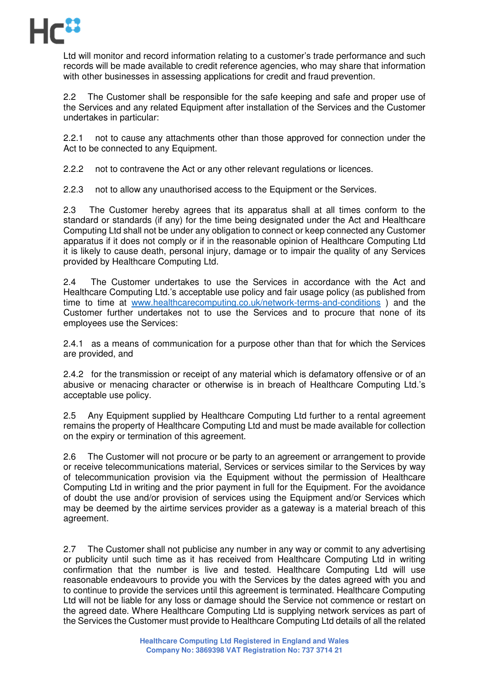

Ltd will monitor and record information relating to a customer's trade performance and such records will be made available to credit reference agencies, who may share that information with other businesses in assessing applications for credit and fraud prevention.

2.2 The Customer shall be responsible for the safe keeping and safe and proper use of the Services and any related Equipment after installation of the Services and the Customer undertakes in particular:

2.2.1 not to cause any attachments other than those approved for connection under the Act to be connected to any Equipment.

2.2.2 not to contravene the Act or any other relevant regulations or licences.

2.2.3 not to allow any unauthorised access to the Equipment or the Services.

2.3 The Customer hereby agrees that its apparatus shall at all times conform to the standard or standards (if any) for the time being designated under the Act and Healthcare Computing Ltd shall not be under any obligation to connect or keep connected any Customer apparatus if it does not comply or if in the reasonable opinion of Healthcare Computing Ltd it is likely to cause death, personal injury, damage or to impair the quality of any Services provided by Healthcare Computing Ltd.

2.4 The Customer undertakes to use the Services in accordance with the Act and Healthcare Computing Ltd.'s acceptable use policy and fair usage policy (as published from time to time at www.healthcarecomputing.co.uk/network-terms-and-conditions ) and the Customer further undertakes not to use the Services and to procure that none of its employees use the Services:

2.4.1 as a means of communication for a purpose other than that for which the Services are provided, and

2.4.2 for the transmission or receipt of any material which is defamatory offensive or of an abusive or menacing character or otherwise is in breach of Healthcare Computing Ltd.'s acceptable use policy.

2.5 Any Equipment supplied by Healthcare Computing Ltd further to a rental agreement remains the property of Healthcare Computing Ltd and must be made available for collection on the expiry or termination of this agreement.

2.6 The Customer will not procure or be party to an agreement or arrangement to provide or receive telecommunications material, Services or services similar to the Services by way of telecommunication provision via the Equipment without the permission of Healthcare Computing Ltd in writing and the prior payment in full for the Equipment. For the avoidance of doubt the use and/or provision of services using the Equipment and/or Services which may be deemed by the airtime services provider as a gateway is a material breach of this agreement.

2.7 The Customer shall not publicise any number in any way or commit to any advertising or publicity until such time as it has received from Healthcare Computing Ltd in writing confirmation that the number is live and tested. Healthcare Computing Ltd will use reasonable endeavours to provide you with the Services by the dates agreed with you and to continue to provide the services until this agreement is terminated. Healthcare Computing Ltd will not be liable for any loss or damage should the Service not commence or restart on the agreed date. Where Healthcare Computing Ltd is supplying network services as part of the Services the Customer must provide to Healthcare Computing Ltd details of all the related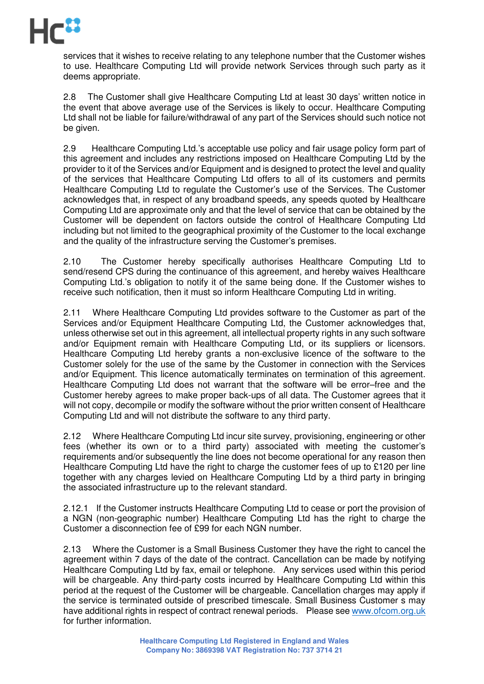

services that it wishes to receive relating to any telephone number that the Customer wishes to use. Healthcare Computing Ltd will provide network Services through such party as it deems appropriate.

2.8 The Customer shall give Healthcare Computing Ltd at least 30 days' written notice in the event that above average use of the Services is likely to occur. Healthcare Computing Ltd shall not be liable for failure/withdrawal of any part of the Services should such notice not be given.

2.9 Healthcare Computing Ltd.'s acceptable use policy and fair usage policy form part of this agreement and includes any restrictions imposed on Healthcare Computing Ltd by the provider to it of the Services and/or Equipment and is designed to protect the level and quality of the services that Healthcare Computing Ltd offers to all of its customers and permits Healthcare Computing Ltd to regulate the Customer's use of the Services. The Customer acknowledges that, in respect of any broadband speeds, any speeds quoted by Healthcare Computing Ltd are approximate only and that the level of service that can be obtained by the Customer will be dependent on factors outside the control of Healthcare Computing Ltd including but not limited to the geographical proximity of the Customer to the local exchange and the quality of the infrastructure serving the Customer's premises.

2.10 The Customer hereby specifically authorises Healthcare Computing Ltd to send/resend CPS during the continuance of this agreement, and hereby waives Healthcare Computing Ltd.'s obligation to notify it of the same being done. If the Customer wishes to receive such notification, then it must so inform Healthcare Computing Ltd in writing.

2.11 Where Healthcare Computing Ltd provides software to the Customer as part of the Services and/or Equipment Healthcare Computing Ltd, the Customer acknowledges that, unless otherwise set out in this agreement, all intellectual property rights in any such software and/or Equipment remain with Healthcare Computing Ltd, or its suppliers or licensors. Healthcare Computing Ltd hereby grants a non-exclusive licence of the software to the Customer solely for the use of the same by the Customer in connection with the Services and/or Equipment. This licence automatically terminates on termination of this agreement. Healthcare Computing Ltd does not warrant that the software will be error–free and the Customer hereby agrees to make proper back-ups of all data. The Customer agrees that it will not copy, decompile or modify the software without the prior written consent of Healthcare Computing Ltd and will not distribute the software to any third party.

2.12 Where Healthcare Computing Ltd incur site survey, provisioning, engineering or other fees (whether its own or to a third party) associated with meeting the customer's requirements and/or subsequently the line does not become operational for any reason then Healthcare Computing Ltd have the right to charge the customer fees of up to £120 per line together with any charges levied on Healthcare Computing Ltd by a third party in bringing the associated infrastructure up to the relevant standard.

2.12.1 If the Customer instructs Healthcare Computing Ltd to cease or port the provision of a NGN (non-geographic number) Healthcare Computing Ltd has the right to charge the Customer a disconnection fee of £99 for each NGN number.

2.13 Where the Customer is a Small Business Customer they have the right to cancel the agreement within 7 days of the date of the contract. Cancellation can be made by notifying Healthcare Computing Ltd by fax, email or telephone. Any services used within this period will be chargeable. Any third-party costs incurred by Healthcare Computing Ltd within this period at the request of the Customer will be chargeable. Cancellation charges may apply if the service is terminated outside of prescribed timescale. Small Business Customer s may have additional rights in respect of contract renewal periods. Please see www.ofcom.org.uk for further information.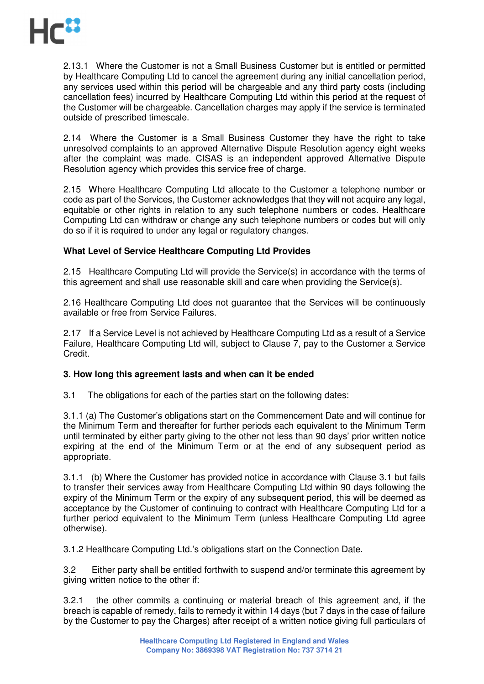

2.13.1 Where the Customer is not a Small Business Customer but is entitled or permitted by Healthcare Computing Ltd to cancel the agreement during any initial cancellation period, any services used within this period will be chargeable and any third party costs (including cancellation fees) incurred by Healthcare Computing Ltd within this period at the request of the Customer will be chargeable. Cancellation charges may apply if the service is terminated outside of prescribed timescale.

2.14 Where the Customer is a Small Business Customer they have the right to take unresolved complaints to an approved Alternative Dispute Resolution agency eight weeks after the complaint was made. CISAS is an independent approved Alternative Dispute Resolution agency which provides this service free of charge.

2.15 Where Healthcare Computing Ltd allocate to the Customer a telephone number or code as part of the Services, the Customer acknowledges that they will not acquire any legal, equitable or other rights in relation to any such telephone numbers or codes. Healthcare Computing Ltd can withdraw or change any such telephone numbers or codes but will only do so if it is required to under any legal or regulatory changes.

## **What Level of Service Healthcare Computing Ltd Provides**

2.15 Healthcare Computing Ltd will provide the Service(s) in accordance with the terms of this agreement and shall use reasonable skill and care when providing the Service(s).

2.16 Healthcare Computing Ltd does not guarantee that the Services will be continuously available or free from Service Failures.

2.17 If a Service Level is not achieved by Healthcare Computing Ltd as a result of a Service Failure, Healthcare Computing Ltd will, subject to Clause 7, pay to the Customer a Service Credit.

#### **3. How long this agreement lasts and when can it be ended**

3.1 The obligations for each of the parties start on the following dates:

3.1.1 (a) The Customer's obligations start on the Commencement Date and will continue for the Minimum Term and thereafter for further periods each equivalent to the Minimum Term until terminated by either party giving to the other not less than 90 days' prior written notice expiring at the end of the Minimum Term or at the end of any subsequent period as appropriate.

3.1.1 (b) Where the Customer has provided notice in accordance with Clause 3.1 but fails to transfer their services away from Healthcare Computing Ltd within 90 days following the expiry of the Minimum Term or the expiry of any subsequent period, this will be deemed as acceptance by the Customer of continuing to contract with Healthcare Computing Ltd for a further period equivalent to the Minimum Term (unless Healthcare Computing Ltd agree otherwise).

3.1.2 Healthcare Computing Ltd.'s obligations start on the Connection Date.

3.2 Either party shall be entitled forthwith to suspend and/or terminate this agreement by giving written notice to the other if:

3.2.1 the other commits a continuing or material breach of this agreement and, if the breach is capable of remedy, fails to remedy it within 14 days (but 7 days in the case of failure by the Customer to pay the Charges) after receipt of a written notice giving full particulars of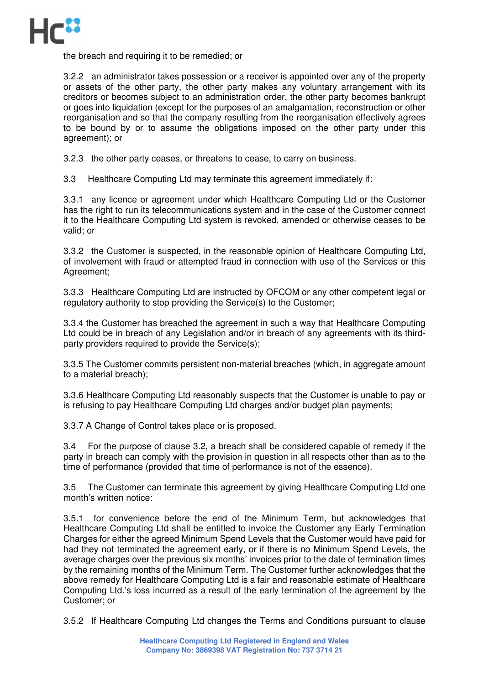

the breach and requiring it to be remedied; or

3.2.2 an administrator takes possession or a receiver is appointed over any of the property or assets of the other party, the other party makes any voluntary arrangement with its creditors or becomes subject to an administration order, the other party becomes bankrupt or goes into liquidation (except for the purposes of an amalgamation, reconstruction or other reorganisation and so that the company resulting from the reorganisation effectively agrees to be bound by or to assume the obligations imposed on the other party under this agreement); or

3.2.3 the other party ceases, or threatens to cease, to carry on business.

3.3 Healthcare Computing Ltd may terminate this agreement immediately if:

3.3.1 any licence or agreement under which Healthcare Computing Ltd or the Customer has the right to run its telecommunications system and in the case of the Customer connect it to the Healthcare Computing Ltd system is revoked, amended or otherwise ceases to be valid; or

3.3.2 the Customer is suspected, in the reasonable opinion of Healthcare Computing Ltd, of involvement with fraud or attempted fraud in connection with use of the Services or this Agreement;

3.3.3 Healthcare Computing Ltd are instructed by OFCOM or any other competent legal or regulatory authority to stop providing the Service(s) to the Customer;

3.3.4 the Customer has breached the agreement in such a way that Healthcare Computing Ltd could be in breach of any Legislation and/or in breach of any agreements with its thirdparty providers required to provide the Service(s);

3.3.5 The Customer commits persistent non-material breaches (which, in aggregate amount to a material breach);

3.3.6 Healthcare Computing Ltd reasonably suspects that the Customer is unable to pay or is refusing to pay Healthcare Computing Ltd charges and/or budget plan payments;

3.3.7 A Change of Control takes place or is proposed.

3.4 For the purpose of clause 3.2, a breach shall be considered capable of remedy if the party in breach can comply with the provision in question in all respects other than as to the time of performance (provided that time of performance is not of the essence).

3.5 The Customer can terminate this agreement by giving Healthcare Computing Ltd one month's written notice:

3.5.1 for convenience before the end of the Minimum Term, but acknowledges that Healthcare Computing Ltd shall be entitled to invoice the Customer any Early Termination Charges for either the agreed Minimum Spend Levels that the Customer would have paid for had they not terminated the agreement early, or if there is no Minimum Spend Levels, the average charges over the previous six months' invoices prior to the date of termination times by the remaining months of the Minimum Term. The Customer further acknowledges that the above remedy for Healthcare Computing Ltd is a fair and reasonable estimate of Healthcare Computing Ltd.'s loss incurred as a result of the early termination of the agreement by the Customer; or

3.5.2 If Healthcare Computing Ltd changes the Terms and Conditions pursuant to clause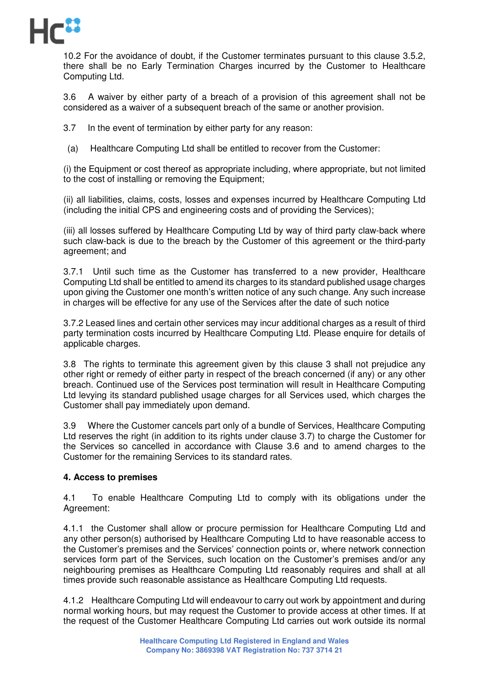

10.2 For the avoidance of doubt, if the Customer terminates pursuant to this clause 3.5.2, there shall be no Early Termination Charges incurred by the Customer to Healthcare Computing Ltd.

3.6 A waiver by either party of a breach of a provision of this agreement shall not be considered as a waiver of a subsequent breach of the same or another provision.

3.7 In the event of termination by either party for any reason:

(a) Healthcare Computing Ltd shall be entitled to recover from the Customer:

(i) the Equipment or cost thereof as appropriate including, where appropriate, but not limited to the cost of installing or removing the Equipment:

(ii) all liabilities, claims, costs, losses and expenses incurred by Healthcare Computing Ltd (including the initial CPS and engineering costs and of providing the Services);

(iii) all losses suffered by Healthcare Computing Ltd by way of third party claw-back where such claw-back is due to the breach by the Customer of this agreement or the third-party agreement; and

3.7.1 Until such time as the Customer has transferred to a new provider, Healthcare Computing Ltd shall be entitled to amend its charges to its standard published usage charges upon giving the Customer one month's written notice of any such change. Any such increase in charges will be effective for any use of the Services after the date of such notice

3.7.2 Leased lines and certain other services may incur additional charges as a result of third party termination costs incurred by Healthcare Computing Ltd. Please enquire for details of applicable charges.

3.8 The rights to terminate this agreement given by this clause 3 shall not prejudice any other right or remedy of either party in respect of the breach concerned (if any) or any other breach. Continued use of the Services post termination will result in Healthcare Computing Ltd levying its standard published usage charges for all Services used, which charges the Customer shall pay immediately upon demand.

3.9 Where the Customer cancels part only of a bundle of Services, Healthcare Computing Ltd reserves the right (in addition to its rights under clause 3.7) to charge the Customer for the Services so cancelled in accordance with Clause 3.6 and to amend charges to the Customer for the remaining Services to its standard rates.

## **4. Access to premises**

4.1 To enable Healthcare Computing Ltd to comply with its obligations under the Agreement:

4.1.1 the Customer shall allow or procure permission for Healthcare Computing Ltd and any other person(s) authorised by Healthcare Computing Ltd to have reasonable access to the Customer's premises and the Services' connection points or, where network connection services form part of the Services, such location on the Customer's premises and/or any neighbouring premises as Healthcare Computing Ltd reasonably requires and shall at all times provide such reasonable assistance as Healthcare Computing Ltd requests.

4.1.2 Healthcare Computing Ltd will endeavour to carry out work by appointment and during normal working hours, but may request the Customer to provide access at other times. If at the request of the Customer Healthcare Computing Ltd carries out work outside its normal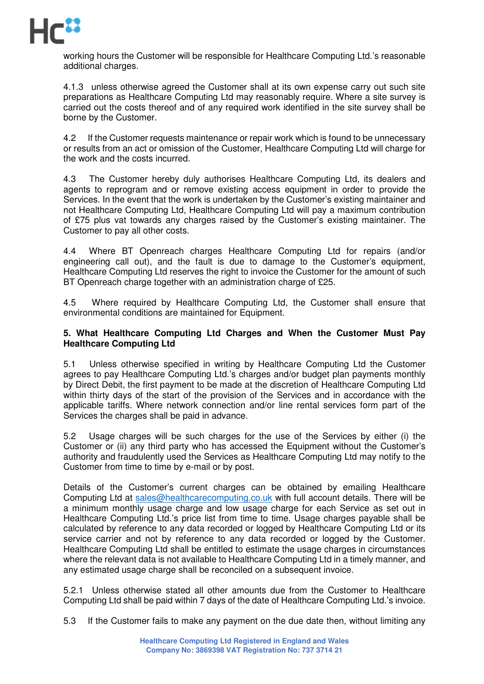

working hours the Customer will be responsible for Healthcare Computing Ltd.'s reasonable additional charges.

4.1.3 unless otherwise agreed the Customer shall at its own expense carry out such site preparations as Healthcare Computing Ltd may reasonably require. Where a site survey is carried out the costs thereof and of any required work identified in the site survey shall be borne by the Customer.

4.2 If the Customer requests maintenance or repair work which is found to be unnecessary or results from an act or omission of the Customer, Healthcare Computing Ltd will charge for the work and the costs incurred.

4.3 The Customer hereby duly authorises Healthcare Computing Ltd, its dealers and agents to reprogram and or remove existing access equipment in order to provide the Services. In the event that the work is undertaken by the Customer's existing maintainer and not Healthcare Computing Ltd, Healthcare Computing Ltd will pay a maximum contribution of £75 plus vat towards any charges raised by the Customer's existing maintainer. The Customer to pay all other costs.

4.4 Where BT Openreach charges Healthcare Computing Ltd for repairs (and/or engineering call out), and the fault is due to damage to the Customer's equipment, Healthcare Computing Ltd reserves the right to invoice the Customer for the amount of such BT Openreach charge together with an administration charge of £25.

4.5 Where required by Healthcare Computing Ltd, the Customer shall ensure that environmental conditions are maintained for Equipment.

## **5. What Healthcare Computing Ltd Charges and When the Customer Must Pay Healthcare Computing Ltd**

5.1 Unless otherwise specified in writing by Healthcare Computing Ltd the Customer agrees to pay Healthcare Computing Ltd.'s charges and/or budget plan payments monthly by Direct Debit, the first payment to be made at the discretion of Healthcare Computing Ltd within thirty days of the start of the provision of the Services and in accordance with the applicable tariffs. Where network connection and/or line rental services form part of the Services the charges shall be paid in advance.

5.2 Usage charges will be such charges for the use of the Services by either (i) the Customer or (ii) any third party who has accessed the Equipment without the Customer's authority and fraudulently used the Services as Healthcare Computing Ltd may notify to the Customer from time to time by e-mail or by post.

Details of the Customer's current charges can be obtained by emailing Healthcare Computing Ltd at sales@healthcarecomputing.co.uk with full account details. There will be a minimum monthly usage charge and low usage charge for each Service as set out in Healthcare Computing Ltd.'s price list from time to time. Usage charges payable shall be calculated by reference to any data recorded or logged by Healthcare Computing Ltd or its service carrier and not by reference to any data recorded or logged by the Customer. Healthcare Computing Ltd shall be entitled to estimate the usage charges in circumstances where the relevant data is not available to Healthcare Computing Ltd in a timely manner, and any estimated usage charge shall be reconciled on a subsequent invoice.

5.2.1 Unless otherwise stated all other amounts due from the Customer to Healthcare Computing Ltd shall be paid within 7 days of the date of Healthcare Computing Ltd.'s invoice.

5.3 If the Customer fails to make any payment on the due date then, without limiting any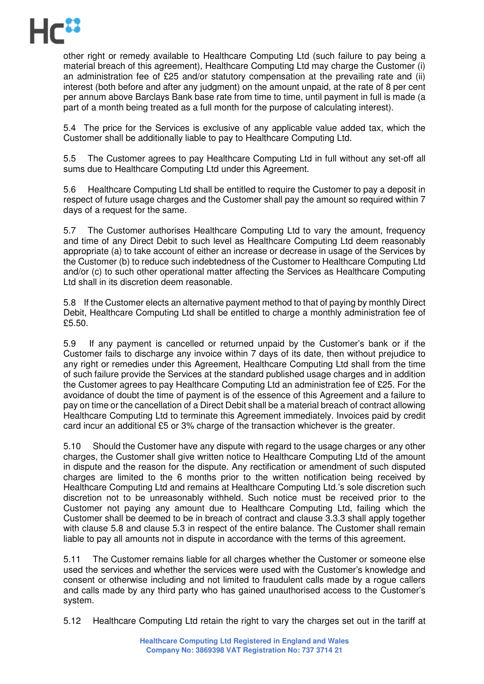

other right or remedy available to Healthcare Computing Ltd (such failure to pay being a material breach of this agreement), Healthcare Computing Ltd may charge the Customer (i) an administration fee of £25 and/or statutory compensation at the prevailing rate and (ii) interest (both before and after any judgment) on the amount unpaid, at the rate of 8 per cent per annum above Barclays Bank base rate from time to time, until payment in full is made (a part of a month being treated as a full month for the purpose of calculating interest).

5.4 The price for the Services is exclusive of any applicable value added tax, which the Customer shall be additionally liable to pay to Healthcare Computing Ltd.

5.5 The Customer agrees to pay Healthcare Computing Ltd in full without any set-off all sums due to Healthcare Computing Ltd under this Agreement.

5.6 Healthcare Computing Ltd shall be entitled to require the Customer to pay a deposit in respect of future usage charges and the Customer shall pay the amount so required within 7 days of a request for the same.

5.7 The Customer authorises Healthcare Computing Ltd to vary the amount, frequency and time of any Direct Debit to such level as Healthcare Computing Ltd deem reasonably appropriate (a) to take account of either an increase or decrease in usage of the Services by the Customer (b) to reduce such indebtedness of the Customer to Healthcare Computing Ltd and/or (c) to such other operational matter affecting the Services as Healthcare Computing Ltd shall in its discretion deem reasonable.

5.8 If the Customer elects an alternative payment method to that of paying by monthly Direct Debit, Healthcare Computing Ltd shall be entitled to charge a monthly administration fee of £5.50.

5.9 If any payment is cancelled or returned unpaid by the Customer's bank or if the Customer fails to discharge any invoice within 7 days of its date, then without prejudice to any right or remedies under this Agreement, Healthcare Computing Ltd shall from the time of such failure provide the Services at the standard published usage charges and in addition the Customer agrees to pay Healthcare Computing Ltd an administration fee of £25. For the avoidance of doubt the time of payment is of the essence of this Agreement and a failure to pay on time or the cancellation of a Direct Debit shall be a material breach of contract allowing Healthcare Computing Ltd to terminate this Agreement immediately. Invoices paid by credit card incur an additional £5 or 3% charge of the transaction whichever is the greater.

5.10 Should the Customer have any dispute with regard to the usage charges or any other charges, the Customer shall give written notice to Healthcare Computing Ltd of the amount in dispute and the reason for the dispute. Any rectification or amendment of such disputed charges are limited to the 6 months prior to the written notification being received by Healthcare Computing Ltd and remains at Healthcare Computing Ltd.'s sole discretion such discretion not to be unreasonably withheld. Such notice must be received prior to the Customer not paying any amount due to Healthcare Computing Ltd, failing which the Customer shall be deemed to be in breach of contract and clause 3.3.3 shall apply together with clause 5.8 and clause 5.3 in respect of the entire balance. The Customer shall remain liable to pay all amounts not in dispute in accordance with the terms of this agreement.

5.11 The Customer remains liable for all charges whether the Customer or someone else used the services and whether the services were used with the Customer's knowledge and consent or otherwise including and not limited to fraudulent calls made by a rogue callers and calls made by any third party who has gained unauthorised access to the Customer's system.

5.12 Healthcare Computing Ltd retain the right to vary the charges set out in the tariff at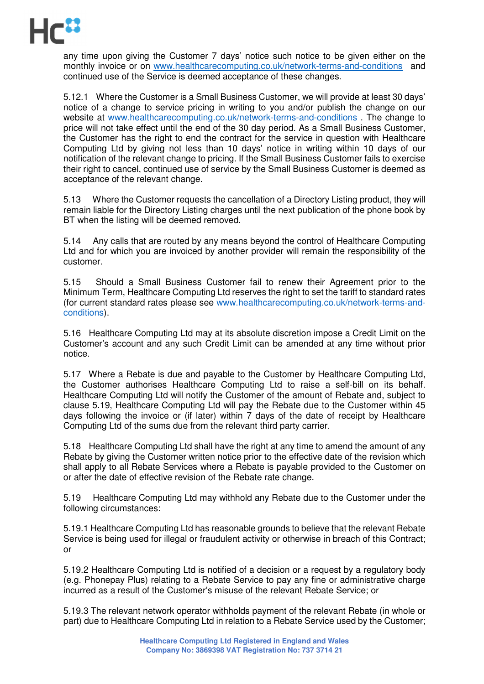

any time upon giving the Customer 7 days' notice such notice to be given either on the monthly invoice or on www.healthcarecomputing.co.uk/network-terms-and-conditions and continued use of the Service is deemed acceptance of these changes.

5.12.1 Where the Customer is a Small Business Customer, we will provide at least 30 days' notice of a change to service pricing in writing to you and/or publish the change on our website at www.healthcarecomputing.co.uk/network-terms-and-conditions . The change to price will not take effect until the end of the 30 day period. As a Small Business Customer, the Customer has the right to end the contract for the service in question with Healthcare Computing Ltd by giving not less than 10 days' notice in writing within 10 days of our notification of the relevant change to pricing. If the Small Business Customer fails to exercise their right to cancel, continued use of service by the Small Business Customer is deemed as acceptance of the relevant change.

5.13 Where the Customer requests the cancellation of a Directory Listing product, they will remain liable for the Directory Listing charges until the next publication of the phone book by BT when the listing will be deemed removed.

5.14 Any calls that are routed by any means beyond the control of Healthcare Computing Ltd and for which you are invoiced by another provider will remain the responsibility of the customer.

5.15 Should a Small Business Customer fail to renew their Agreement prior to the Minimum Term, Healthcare Computing Ltd reserves the right to set the tariff to standard rates (for current standard rates please see www.healthcarecomputing.co.uk/network-terms-andconditions).

5.16 Healthcare Computing Ltd may at its absolute discretion impose a Credit Limit on the Customer's account and any such Credit Limit can be amended at any time without prior notice.

5.17 Where a Rebate is due and payable to the Customer by Healthcare Computing Ltd, the Customer authorises Healthcare Computing Ltd to raise a self-bill on its behalf. Healthcare Computing Ltd will notify the Customer of the amount of Rebate and, subject to clause 5.19, Healthcare Computing Ltd will pay the Rebate due to the Customer within 45 days following the invoice or (if later) within 7 days of the date of receipt by Healthcare Computing Ltd of the sums due from the relevant third party carrier.

5.18 Healthcare Computing Ltd shall have the right at any time to amend the amount of any Rebate by giving the Customer written notice prior to the effective date of the revision which shall apply to all Rebate Services where a Rebate is payable provided to the Customer on or after the date of effective revision of the Rebate rate change.

5.19 Healthcare Computing Ltd may withhold any Rebate due to the Customer under the following circumstances:

5.19.1 Healthcare Computing Ltd has reasonable grounds to believe that the relevant Rebate Service is being used for illegal or fraudulent activity or otherwise in breach of this Contract; or

5.19.2 Healthcare Computing Ltd is notified of a decision or a request by a regulatory body (e.g. Phonepay Plus) relating to a Rebate Service to pay any fine or administrative charge incurred as a result of the Customer's misuse of the relevant Rebate Service; or

5.19.3 The relevant network operator withholds payment of the relevant Rebate (in whole or part) due to Healthcare Computing Ltd in relation to a Rebate Service used by the Customer;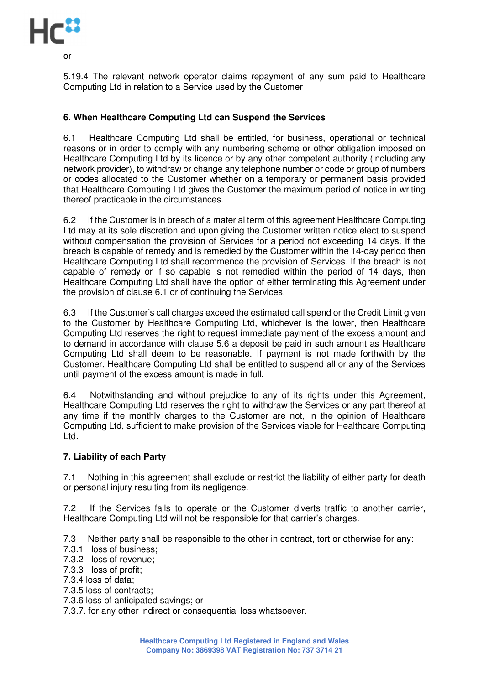

or

5.19.4 The relevant network operator claims repayment of any sum paid to Healthcare Computing Ltd in relation to a Service used by the Customer

# **6. When Healthcare Computing Ltd can Suspend the Services**

6.1 Healthcare Computing Ltd shall be entitled, for business, operational or technical reasons or in order to comply with any numbering scheme or other obligation imposed on Healthcare Computing Ltd by its licence or by any other competent authority (including any network provider), to withdraw or change any telephone number or code or group of numbers or codes allocated to the Customer whether on a temporary or permanent basis provided that Healthcare Computing Ltd gives the Customer the maximum period of notice in writing thereof practicable in the circumstances.

6.2 If the Customer is in breach of a material term of this agreement Healthcare Computing Ltd may at its sole discretion and upon giving the Customer written notice elect to suspend without compensation the provision of Services for a period not exceeding 14 days. If the breach is capable of remedy and is remedied by the Customer within the 14-day period then Healthcare Computing Ltd shall recommence the provision of Services. If the breach is not capable of remedy or if so capable is not remedied within the period of 14 days, then Healthcare Computing Ltd shall have the option of either terminating this Agreement under the provision of clause 6.1 or of continuing the Services.

6.3 If the Customer's call charges exceed the estimated call spend or the Credit Limit given to the Customer by Healthcare Computing Ltd, whichever is the lower, then Healthcare Computing Ltd reserves the right to request immediate payment of the excess amount and to demand in accordance with clause 5.6 a deposit be paid in such amount as Healthcare Computing Ltd shall deem to be reasonable. If payment is not made forthwith by the Customer, Healthcare Computing Ltd shall be entitled to suspend all or any of the Services until payment of the excess amount is made in full.

6.4 Notwithstanding and without prejudice to any of its rights under this Agreement, Healthcare Computing Ltd reserves the right to withdraw the Services or any part thereof at any time if the monthly charges to the Customer are not, in the opinion of Healthcare Computing Ltd, sufficient to make provision of the Services viable for Healthcare Computing Ltd.

## **7. Liability of each Party**

7.1 Nothing in this agreement shall exclude or restrict the liability of either party for death or personal injury resulting from its negligence.

7.2 If the Services fails to operate or the Customer diverts traffic to another carrier, Healthcare Computing Ltd will not be responsible for that carrier's charges.

7.3 Neither party shall be responsible to the other in contract, tort or otherwise for any:

- 7.3.1 loss of business;
- 7.3.2 loss of revenue;
- 7.3.3 loss of profit;
- 7.3.4 loss of data;
- 7.3.5 loss of contracts;
- 7.3.6 loss of anticipated savings; or

7.3.7. for any other indirect or consequential loss whatsoever.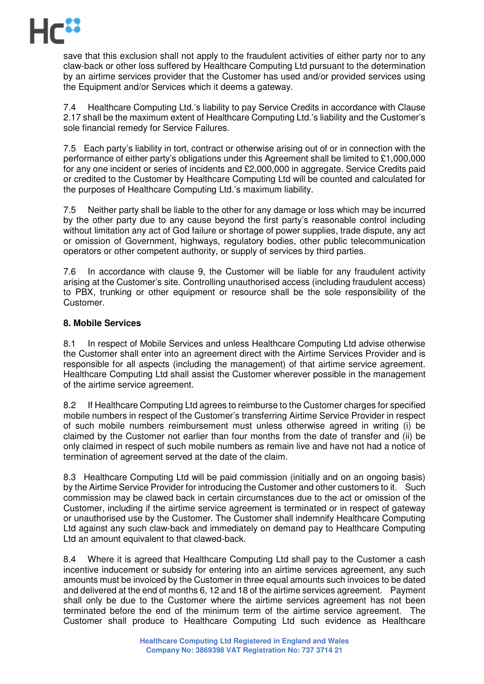

save that this exclusion shall not apply to the fraudulent activities of either party nor to any claw-back or other loss suffered by Healthcare Computing Ltd pursuant to the determination by an airtime services provider that the Customer has used and/or provided services using the Equipment and/or Services which it deems a gateway.

7.4 Healthcare Computing Ltd.'s liability to pay Service Credits in accordance with Clause 2.17 shall be the maximum extent of Healthcare Computing Ltd.'s liability and the Customer's sole financial remedy for Service Failures.

7.5 Each party's liability in tort, contract or otherwise arising out of or in connection with the performance of either party's obligations under this Agreement shall be limited to £1,000,000 for any one incident or series of incidents and £2,000,000 in aggregate. Service Credits paid or credited to the Customer by Healthcare Computing Ltd will be counted and calculated for the purposes of Healthcare Computing Ltd.'s maximum liability.

7.5 Neither party shall be liable to the other for any damage or loss which may be incurred by the other party due to any cause beyond the first party's reasonable control including without limitation any act of God failure or shortage of power supplies, trade dispute, any act or omission of Government, highways, regulatory bodies, other public telecommunication operators or other competent authority, or supply of services by third parties.

7.6 In accordance with clause 9, the Customer will be liable for any fraudulent activity arising at the Customer's site. Controlling unauthorised access (including fraudulent access) to PBX, trunking or other equipment or resource shall be the sole responsibility of the Customer.

## **8. Mobile Services**

8.1 In respect of Mobile Services and unless Healthcare Computing Ltd advise otherwise the Customer shall enter into an agreement direct with the Airtime Services Provider and is responsible for all aspects (including the management) of that airtime service agreement. Healthcare Computing Ltd shall assist the Customer wherever possible in the management of the airtime service agreement.

8.2 If Healthcare Computing Ltd agrees to reimburse to the Customer charges for specified mobile numbers in respect of the Customer's transferring Airtime Service Provider in respect of such mobile numbers reimbursement must unless otherwise agreed in writing (i) be claimed by the Customer not earlier than four months from the date of transfer and (ii) be only claimed in respect of such mobile numbers as remain live and have not had a notice of termination of agreement served at the date of the claim.

8.3 Healthcare Computing Ltd will be paid commission (initially and on an ongoing basis) by the Airtime Service Provider for introducing the Customer and other customers to it. Such commission may be clawed back in certain circumstances due to the act or omission of the Customer, including if the airtime service agreement is terminated or in respect of gateway or unauthorised use by the Customer. The Customer shall indemnify Healthcare Computing Ltd against any such claw-back and immediately on demand pay to Healthcare Computing Ltd an amount equivalent to that clawed-back.

8.4 Where it is agreed that Healthcare Computing Ltd shall pay to the Customer a cash incentive inducement or subsidy for entering into an airtime services agreement, any such amounts must be invoiced by the Customer in three equal amounts such invoices to be dated and delivered at the end of months 6, 12 and 18 of the airtime services agreement. Payment shall only be due to the Customer where the airtime services agreement has not been terminated before the end of the minimum term of the airtime service agreement. The Customer shall produce to Healthcare Computing Ltd such evidence as Healthcare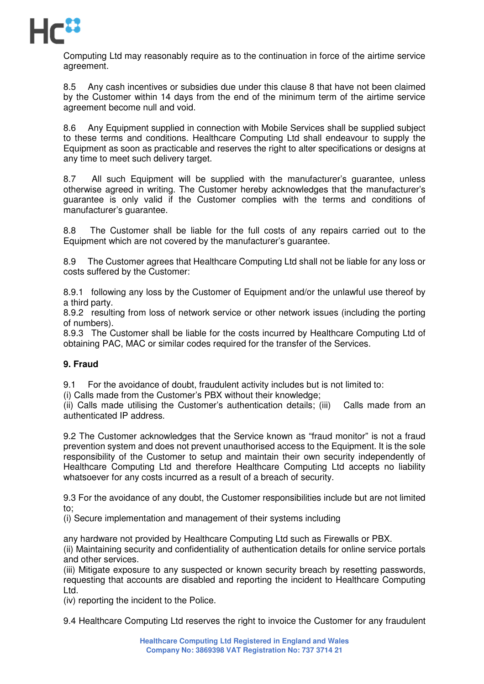

Computing Ltd may reasonably require as to the continuation in force of the airtime service agreement.

8.5 Any cash incentives or subsidies due under this clause 8 that have not been claimed by the Customer within 14 days from the end of the minimum term of the airtime service agreement become null and void.

8.6 Any Equipment supplied in connection with Mobile Services shall be supplied subject to these terms and conditions. Healthcare Computing Ltd shall endeavour to supply the Equipment as soon as practicable and reserves the right to alter specifications or designs at any time to meet such delivery target.

8.7 All such Equipment will be supplied with the manufacturer's guarantee, unless otherwise agreed in writing. The Customer hereby acknowledges that the manufacturer's guarantee is only valid if the Customer complies with the terms and conditions of manufacturer's guarantee.

8.8 The Customer shall be liable for the full costs of any repairs carried out to the Equipment which are not covered by the manufacturer's guarantee.

8.9 The Customer agrees that Healthcare Computing Ltd shall not be liable for any loss or costs suffered by the Customer:

8.9.1 following any loss by the Customer of Equipment and/or the unlawful use thereof by a third party.

8.9.2 resulting from loss of network service or other network issues (including the porting of numbers).

8.9.3 The Customer shall be liable for the costs incurred by Healthcare Computing Ltd of obtaining PAC, MAC or similar codes required for the transfer of the Services.

# **9. Fraud**

9.1 For the avoidance of doubt, fraudulent activity includes but is not limited to:

(i) Calls made from the Customer's PBX without their knowledge;

(ii) Calls made utilising the Customer's authentication details; (iii) Calls made from an authenticated IP address.

9.2 The Customer acknowledges that the Service known as "fraud monitor" is not a fraud prevention system and does not prevent unauthorised access to the Equipment. It is the sole responsibility of the Customer to setup and maintain their own security independently of Healthcare Computing Ltd and therefore Healthcare Computing Ltd accepts no liability whatsoever for any costs incurred as a result of a breach of security.

9.3 For the avoidance of any doubt, the Customer responsibilities include but are not limited to;

(i) Secure implementation and management of their systems including

any hardware not provided by Healthcare Computing Ltd such as Firewalls or PBX.

(ii) Maintaining security and confidentiality of authentication details for online service portals and other services.

(iii) Mitigate exposure to any suspected or known security breach by resetting passwords, requesting that accounts are disabled and reporting the incident to Healthcare Computing Ltd.

(iv) reporting the incident to the Police.

9.4 Healthcare Computing Ltd reserves the right to invoice the Customer for any fraudulent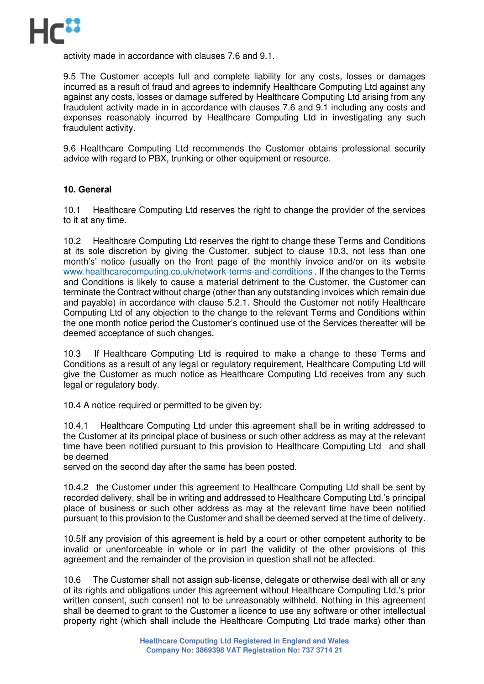

activity made in accordance with clauses 7.6 and 9.1.

9.5 The Customer accepts full and complete liability for any costs, losses or damages incurred as a result of fraud and agrees to indemnify Healthcare Computing Ltd against any against any costs, losses or damage suffered by Healthcare Computing Ltd arising from any fraudulent activity made in in accordance with clauses 7.6 and 9.1 including any costs and expenses reasonably incurred by Healthcare Computing Ltd in investigating any such fraudulent activity.

9.6 Healthcare Computing Ltd recommends the Customer obtains professional security advice with regard to PBX, trunking or other equipment or resource.

## **10. General**

10.1 Healthcare Computing Ltd reserves the right to change the provider of the services to it at any time.

10.2 Healthcare Computing Ltd reserves the right to change these Terms and Conditions at its sole discretion by giving the Customer, subject to clause 10.3, not less than one month's' notice (usually on the front page of the monthly invoice and/or on its website www.healthcarecomputing.co.uk/network-terms-and-conditions . If the changes to the Terms and Conditions is likely to cause a material detriment to the Customer, the Customer can terminate the Contract without charge (other than any outstanding invoices which remain due and payable) in accordance with clause 5.2.1. Should the Customer not notify Healthcare Computing Ltd of any objection to the change to the relevant Terms and Conditions within the one month notice period the Customer's continued use of the Services thereafter will be deemed acceptance of such changes.

10.3 If Healthcare Computing Ltd is required to make a change to these Terms and Conditions as a result of any legal or regulatory requirement, Healthcare Computing Ltd will give the Customer as much notice as Healthcare Computing Ltd receives from any such legal or regulatory body.

10.4 A notice required or permitted to be given by:

10.4.1 Healthcare Computing Ltd under this agreement shall be in writing addressed to the Customer at its principal place of business or such other address as may at the relevant time have been notified pursuant to this provision to Healthcare Computing Ltd and shall be deemed

served on the second day after the same has been posted.

10.4.2 the Customer under this agreement to Healthcare Computing Ltd shall be sent by recorded delivery, shall be in writing and addressed to Healthcare Computing Ltd.'s principal place of business or such other address as may at the relevant time have been notified pursuant to this provision to the Customer and shall be deemed served at the time of delivery.

10.5If any provision of this agreement is held by a court or other competent authority to be invalid or unenforceable in whole or in part the validity of the other provisions of this agreement and the remainder of the provision in question shall not be affected.

10.6 The Customer shall not assign sub-license, delegate or otherwise deal with all or any of its rights and obligations under this agreement without Healthcare Computing Ltd.'s prior written consent, such consent not to be unreasonably withheld. Nothing in this agreement shall be deemed to grant to the Customer a licence to use any software or other intellectual property right (which shall include the Healthcare Computing Ltd trade marks) other than